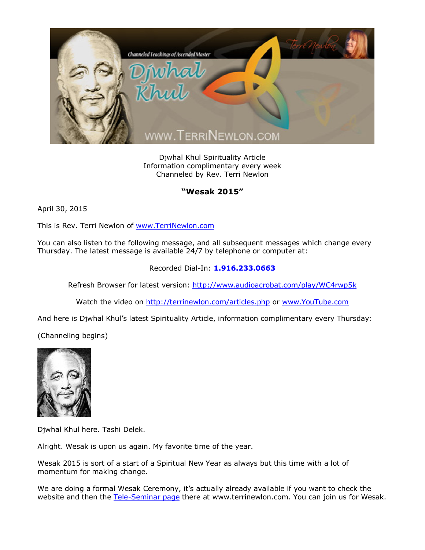

Djwhal Khul Spirituality Article Information complimentary every week Channeled by Rev. Terri Newlon

## **"Wesak 2015"**

April 30, 2015

This is Rev. Terri Newlon of [www.TerriNewlon.com](http://www.terrinewlon.com/)

You can also listen to the following message, and all subsequent messages which change every Thursday. The latest message is available 24/7 by telephone or computer at:

## Recorded Dial-In: **1.916.233.0663**

Refresh Browser for latest version: <http://www.audioacrobat.com/play/WC4rwp5k>

Watch the video on <http://terrinewlon.com/articles.php> or [www.YouTube.com](http://www.youtube.com/)

And here is Djwhal Khul's latest Spirituality Article, information complimentary every Thursday:

(Channeling begins)



Djwhal Khul here. Tashi Delek.

Alright. Wesak is upon us again. My favorite time of the year.

Wesak 2015 is sort of a start of a Spiritual New Year as always but this time with a lot of momentum for making change.

We are doing a formal Wesak Ceremony, it's actually already available if you want to check the website and then the [Tele-Seminar page](http://www.terrinewlon.com/telecourses.php) there at www.terrinewlon.com. You can join us for Wesak.